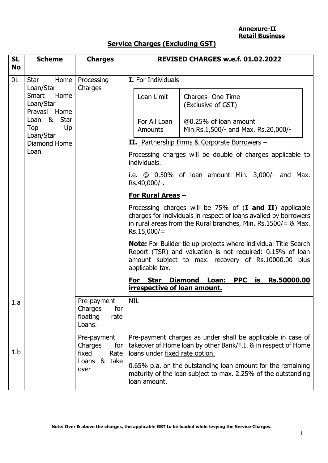**Annexure-II Retail Business**

# **Service Charges (Excluding GST)**

| <b>SL</b><br><b>No</b> | <b>Scheme</b>                                           | <b>Charges</b>                                                                                                                                                                                              |                                                                            | REVISED CHARGES w.e.f. 01.02.2022                                                                                                                                                          |  |
|------------------------|---------------------------------------------------------|-------------------------------------------------------------------------------------------------------------------------------------------------------------------------------------------------------------|----------------------------------------------------------------------------|--------------------------------------------------------------------------------------------------------------------------------------------------------------------------------------------|--|
| 01                     | Home<br><b>Star</b>                                     | Processing                                                                                                                                                                                                  | I. For Individuals -                                                       |                                                                                                                                                                                            |  |
|                        | Loan/Star<br>Smart<br>Home<br>Loan/Star<br>Pravasi Home | Charges                                                                                                                                                                                                     | Loan Limit                                                                 | Charges- One Time<br>(Exclusive of GST)                                                                                                                                                    |  |
|                        | Loan &<br><b>Star</b><br>Up<br>Top<br>Loan/Star         |                                                                                                                                                                                                             | For All Loan<br><b>Amounts</b>                                             | @0.25% of loan amount<br>Min.Rs.1,500/- and Max. Rs.20,000/-                                                                                                                               |  |
|                        | Diamond Home                                            |                                                                                                                                                                                                             | II. Partnership Firms & Corporate Borrowers -                              |                                                                                                                                                                                            |  |
|                        | Loan                                                    |                                                                                                                                                                                                             | Processing charges will be double of charges applicable to<br>individuals. |                                                                                                                                                                                            |  |
|                        |                                                         |                                                                                                                                                                                                             | Rs.40,000/-.                                                               | i.e. $\textcircled{a}$ 0.50% of loan amount Min. 3,000/- and Max.                                                                                                                          |  |
|                        |                                                         |                                                                                                                                                                                                             | <b>For Rural Areas -</b>                                                   |                                                                                                                                                                                            |  |
| $Rs.15,000/=$          |                                                         | Processing charges will be $75\%$ of ( <b>I and II</b> ) applicable<br>charges for individuals in respect of loans availed by borrowers<br>in rural areas from the Rural branches, Min. Rs.1500/ $=$ & Max. |                                                                            |                                                                                                                                                                                            |  |
|                        |                                                         |                                                                                                                                                                                                             | applicable tax.                                                            | <b>Note:</b> For Builder tie up projects where individual Title Search<br>Report (TSR) and valuation is not required: 0.15% of loan<br>amount subject to max. recovery of Rs.10000.00 plus |  |
|                        |                                                         |                                                                                                                                                                                                             | irrespective of loan amount.                                               | <b>PPC</b> is<br>Rs.50000.00<br>For Star Diamond Loan:                                                                                                                                     |  |
| 1.a                    |                                                         | Pre-payment<br>Charges<br>for<br>floating<br>rate<br>Loans.                                                                                                                                                 | <b>NIL</b>                                                                 |                                                                                                                                                                                            |  |
| 1.b                    |                                                         | Pre-payment<br>Charges<br>for<br>fixed<br>Rate                                                                                                                                                              | loans under fixed rate option.                                             | Pre-payment charges as under shall be applicable in case of<br>takeover of Home loan by other Bank/F.I. & in respect of Home                                                               |  |
|                        |                                                         | Loans & take<br>over                                                                                                                                                                                        | loan amount.                                                               | 0.65% p.a. on the outstanding loan amount for the remaining<br>maturity of the loan subject to max. 2.25% of the outstanding                                                               |  |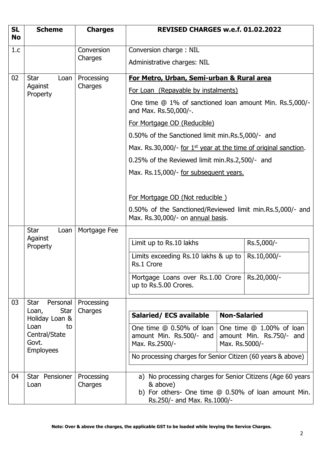| <b>SL</b><br><b>No</b> | <b>Scheme</b>                                                                               | <b>Charges</b>        | REVISED CHARGES w.e.f. 01.02.2022                                                                                                                            |                                                                        |             |
|------------------------|---------------------------------------------------------------------------------------------|-----------------------|--------------------------------------------------------------------------------------------------------------------------------------------------------------|------------------------------------------------------------------------|-------------|
| 1.c                    |                                                                                             | Conversion            | Conversion charge: NIL                                                                                                                                       |                                                                        |             |
|                        |                                                                                             | Charges               | Administrative charges: NIL                                                                                                                                  |                                                                        |             |
| 02                     | <b>Star</b><br>Loan                                                                         | Processing            | For Metro, Urban, Semi-urban & Rural area                                                                                                                    |                                                                        |             |
|                        | Against<br>Property                                                                         | Charges               | For Loan (Repayable by instalments)                                                                                                                          |                                                                        |             |
|                        |                                                                                             |                       | One time @ 1% of sanctioned loan amount Min. Rs.5,000/-<br>and Max. Rs.50,000/-.                                                                             |                                                                        |             |
|                        |                                                                                             |                       | For Mortgage OD (Reducible)                                                                                                                                  |                                                                        |             |
|                        |                                                                                             |                       | 0.50% of the Sanctioned limit min.Rs.5,000/- and                                                                                                             |                                                                        |             |
|                        |                                                                                             |                       | Max. Rs.30,000/- for $1^{st}$ year at the time of original sanction.                                                                                         |                                                                        |             |
|                        |                                                                                             |                       | 0.25% of the Reviewed limit min.Rs.2,500/- and                                                                                                               |                                                                        |             |
|                        |                                                                                             |                       | Max. Rs.15,000/- for subsequent years.                                                                                                                       |                                                                        |             |
|                        |                                                                                             |                       | For Mortgage OD (Not reducible)<br>0.50% of the Sanctioned/Reviewed limit min.Rs.5,000/- and<br>Max. Rs.30,000/- on annual basis.                            |                                                                        |             |
|                        | <b>Star</b><br>Loan<br>Against                                                              | Mortgage Fee          |                                                                                                                                                              |                                                                        |             |
|                        | Property                                                                                    |                       | Limit up to Rs.10 lakhs                                                                                                                                      |                                                                        | Rs.5,000/-  |
|                        |                                                                                             |                       | Limits exceeding Rs.10 lakhs & up to<br>Rs.1 Crore                                                                                                           |                                                                        | Rs.10,000/- |
|                        |                                                                                             |                       | Mortgage Loans over Rs.1.00 Crore<br>up to Rs.5.00 Crores.                                                                                                   |                                                                        | Rs.20,000/- |
| 03                     | Star<br>Personal                                                                            | Processing            |                                                                                                                                                              |                                                                        |             |
|                        | Star<br>Loan,<br>Holiday Loan &<br>Loan<br>to<br>Central/State<br>Govt.<br><b>Employees</b> | Charges               | <b>Salaried/ECS available</b>                                                                                                                                | <b>Non-Salaried</b>                                                    |             |
|                        |                                                                                             |                       | One time $@0.50\%$ of loan<br>amount Min. Rs.500/- and<br>Max. Rs.2500/-                                                                                     | One time @ 1.00% of loan<br>amount Min. Rs.750/- and<br>Max. Rs.5000/- |             |
|                        |                                                                                             |                       | No processing charges for Senior Citizen (60 years & above)                                                                                                  |                                                                        |             |
| 04                     | Star Pensioner<br>Loan                                                                      | Processing<br>Charges | a) No processing charges for Senior Citizens (Age 60 years<br>& above)<br>b) For others- One time @ 0.50% of loan amount Min.<br>Rs.250/- and Max. Rs.1000/- |                                                                        |             |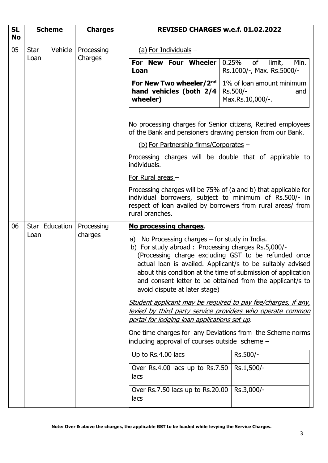| <b>SL</b><br><b>No</b> | <b>Scheme</b>          | <b>Charges</b>                                                                                                    | REVISED CHARGES w.e.f. 01.02.2022                                                                                                                                                                                                                                                                                                                                                                                    |                                                                  |  |  |
|------------------------|------------------------|-------------------------------------------------------------------------------------------------------------------|----------------------------------------------------------------------------------------------------------------------------------------------------------------------------------------------------------------------------------------------------------------------------------------------------------------------------------------------------------------------------------------------------------------------|------------------------------------------------------------------|--|--|
| 05                     | Vehicle<br><b>Star</b> | Processing                                                                                                        | (a) For Individuals $-$                                                                                                                                                                                                                                                                                                                                                                                              |                                                                  |  |  |
|                        | Loan                   | Charges                                                                                                           | For New Four Wheeler<br>Loan                                                                                                                                                                                                                                                                                                                                                                                         | 0.25%<br>of<br>Min.<br>limit,<br>Rs.1000/-, Max. Rs.5000/-       |  |  |
|                        |                        |                                                                                                                   | For New Two wheeler/2nd<br>hand vehicles (both $2/4$<br>wheeler)                                                                                                                                                                                                                                                                                                                                                     | 1% of loan amount minimum<br>Rs.500/-<br>and<br>Max.Rs.10,000/-. |  |  |
|                        |                        |                                                                                                                   | No processing charges for Senior citizens, Retired employees<br>of the Bank and pensioners drawing pension from our Bank.                                                                                                                                                                                                                                                                                            |                                                                  |  |  |
|                        |                        |                                                                                                                   | (b) For Partnership firms/Corporates -                                                                                                                                                                                                                                                                                                                                                                               |                                                                  |  |  |
|                        |                        |                                                                                                                   | Processing charges will be double that of applicable to<br>individuals.                                                                                                                                                                                                                                                                                                                                              |                                                                  |  |  |
|                        |                        |                                                                                                                   | For Rural areas -                                                                                                                                                                                                                                                                                                                                                                                                    |                                                                  |  |  |
|                        |                        |                                                                                                                   | Processing charges will be 75% of (a and b) that applicable for<br>individual borrowers, subject to minimum of Rs.500/- in<br>respect of loan availed by borrowers from rural areas/ from<br>rural branches.                                                                                                                                                                                                         |                                                                  |  |  |
| 06                     | Star Education         | Processing                                                                                                        | No processing charges.<br>a) No Processing charges - for study in India.<br>b) For study abroad : Processing charges Rs.5,000/-<br>(Processing charge excluding GST to be refunded once<br>actual loan is availed. Applicant/s to be suitably advised<br>about this condition at the time of submission of application<br>and consent letter to be obtained from the applicant/s to<br>avoid dispute at later stage) |                                                                  |  |  |
|                        | Loan                   | charges                                                                                                           |                                                                                                                                                                                                                                                                                                                                                                                                                      |                                                                  |  |  |
|                        |                        |                                                                                                                   | Student applicant may be required to pay fee/charges, if any,                                                                                                                                                                                                                                                                                                                                                        |                                                                  |  |  |
|                        |                        | <u>levied by third party service providers who operate common</u><br>portal for lodging loan applications set up. |                                                                                                                                                                                                                                                                                                                                                                                                                      |                                                                  |  |  |
|                        |                        |                                                                                                                   | One time charges for any Deviations from the Scheme norms<br>including approval of courses outside scheme -                                                                                                                                                                                                                                                                                                          |                                                                  |  |  |
|                        |                        |                                                                                                                   | Up to Rs.4.00 lacs                                                                                                                                                                                                                                                                                                                                                                                                   | Rs.500/-                                                         |  |  |
|                        |                        |                                                                                                                   | Over Rs.4.00 lacs up to Rs.7.50<br>lacs                                                                                                                                                                                                                                                                                                                                                                              | Rs.1,500/-                                                       |  |  |
|                        |                        |                                                                                                                   | Over Rs.7.50 lacs up to Rs.20.00<br>lacs                                                                                                                                                                                                                                                                                                                                                                             | Rs.3,000/-                                                       |  |  |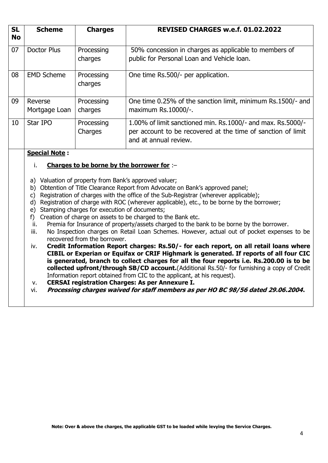| <b>SL</b><br><b>No</b> | <b>Scheme</b>            | <b>Charges</b>        | REVISED CHARGES w.e.f. 01.02.2022                                                                                                                    |
|------------------------|--------------------------|-----------------------|------------------------------------------------------------------------------------------------------------------------------------------------------|
| 07                     | Doctor Plus              | Processing<br>charges | 50% concession in charges as applicable to members of<br>public for Personal Loan and Vehicle loan.                                                  |
| 08                     | <b>EMD Scheme</b>        | Processing<br>charges | One time Rs.500/- per application.                                                                                                                   |
| 09                     | Reverse<br>Mortgage Loan | Processing<br>charges | One time 0.25% of the sanction limit, minimum Rs.1500/- and<br>maximum Rs.10000/-.                                                                   |
| 10                     | Star IPO                 | Processing<br>Charges | 1.00% of limit sanctioned min. Rs.1000/- and max. Rs.5000/-<br>per account to be recovered at the time of sanction of limit<br>and at annual review. |

### **Special Note :**

### i. **Charges to be borne by the borrower for** :–

- a) Valuation of property from Bank's approved valuer;
- b) Obtention of Title Clearance Report from Advocate on Bank's approved panel;
- c) Registration of charges with the office of the Sub-Registrar (wherever applicable);
- d) Registration of charge with ROC (wherever applicable), etc., to be borne by the borrower;
- e) Stamping charges for execution of documents;
- f) Creation of charge on assets to be charged to the Bank etc.
- ii. Premia for Insurance of property/assets charged to the bank to be borne by the borrower.
- iii. No Inspection charges on Retail Loan Schemes. However, actual out of pocket expenses to be recovered from the borrower.
- iv. **Credit Information Report charges: Rs.50/- for each report, on all retail loans where CIBIL or Experian or Equifax or CRIF Highmark is generated. If reports of all four CIC is generated, branch to collect charges for all the four reports i.e. Rs.200.00 is to be collected upfront/through SB/CD account.**(Additional Rs.50/- for furnishing a copy of Credit Information report obtained from CIC to the applicant, at his request).
- v. **CERSAI registration Charges: As per Annexure I.**
- vi. **Processing charges waived for staff members as per HO BC 98/56 dated 29.06.2004.**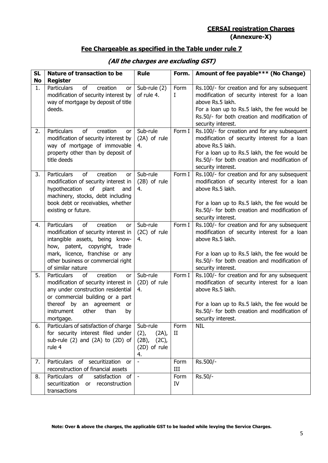## **CERSAI registration Charges (Annexure-X)**

## **Fee Chargeable as specified in the Table under rule 7**

| <b>SL</b><br><b>No</b> | <b>Nature of transaction to be</b><br><b>Register</b>                                                                                                                                                                                                      | <b>Rule</b>                                                           | Form.               | Amount of fee payable*** (No Change)                                                                                                                                                                                                    |
|------------------------|------------------------------------------------------------------------------------------------------------------------------------------------------------------------------------------------------------------------------------------------------------|-----------------------------------------------------------------------|---------------------|-----------------------------------------------------------------------------------------------------------------------------------------------------------------------------------------------------------------------------------------|
| 1.                     | <b>Particulars</b><br>of<br>creation<br>or<br>modification of security interest by<br>way of mortgage by deposit of title<br>deeds.                                                                                                                        | Sub-rule (2)<br>of rule 4.                                            | Form<br>I           | Rs.100/- for creation and for any subsequent<br>modification of security interest for a loan<br>above Rs.5 lakh.<br>For a loan up to Rs.5 lakh, the fee would be<br>Rs.50/- for both creation and modification of<br>security interest. |
| 2.                     | <b>Particulars</b><br>of<br>creation<br>or<br>modification of security interest by<br>way of mortgage of immovable<br>property other than by deposit of<br>title deeds                                                                                     | Sub-rule<br>(2A) of rule<br>4.                                        | Form I              | Rs.100/- for creation and for any subsequent<br>modification of security interest for a loan<br>above Rs.5 lakh.<br>For a loan up to Rs.5 lakh, the fee would be<br>Rs.50/- for both creation and modification of<br>security interest. |
| 3.                     | <b>Particulars</b><br>of<br>creation<br><b>or</b><br>modification of security interest in<br>hypothecation of<br>plant<br>and<br>machinery, stocks, debt including<br>book debt or receivables, whether<br>existing or future.                             | Sub-rule<br>(2B) of rule<br>4.                                        | Form I              | Rs.100/- for creation and for any subsequent<br>modification of security interest for a loan<br>above Rs.5 lakh.<br>For a loan up to Rs.5 lakh, the fee would be<br>Rs.50/- for both creation and modification of<br>security interest. |
| 4.                     | of<br><b>Particulars</b><br>creation<br><b>or</b><br>modification of security interest in<br>intangible assets, being know-<br>how, patent, copyright, trade<br>mark, licence, franchise or any<br>other business or commercial right<br>of similar nature | Sub-rule<br>(2C) of rule<br>4.                                        | Form I              | Rs.100/- for creation and for any subsequent<br>modification of security interest for a loan<br>above Rs.5 lakh.<br>For a loan up to Rs.5 lakh, the fee would be<br>Rs.50/- for both creation and modification of<br>security interest. |
| 5.                     | of<br>creation<br><b>Particulars</b><br>or<br>modification of security interest in<br>any under construction residential<br>or commercial building or a part<br>thereof by an agreement or<br>other<br>instrument<br>than<br>by<br>mortgage.               | Sub-rule<br>(2D) of rule<br>4.                                        | Form I              | Rs.100/- for creation and for any subsequent<br>modification of security interest for a loan<br>above Rs.5 lakh.<br>For a loan up to Rs.5 lakh, the fee would be<br>Rs.50/- for both creation and modification of<br>security interest. |
| 6.                     | Particulars of satisfaction of charge<br>for security interest filed under<br>sub-rule (2) and (2A) to (2D) of<br>rule 4                                                                                                                                   | Sub-rule<br>$(2)$ ,<br>(2A)<br>$(2B)$ ,<br>(2C)<br>(2D) of rule<br>4. | Form<br>$_{\rm II}$ | <b>NIL</b>                                                                                                                                                                                                                              |
| 7.                     | Particulars of securitization or<br>reconstruction of financial assets                                                                                                                                                                                     |                                                                       | Form<br>III         | Rs.500/-                                                                                                                                                                                                                                |
| 8.                     | Particulars of<br>satisfaction of<br>securitization or reconstruction<br>transactions                                                                                                                                                                      | $\blacksquare$                                                        | Form<br>IV          | Rs.50/-                                                                                                                                                                                                                                 |

# **(All the charges are excluding GST)**